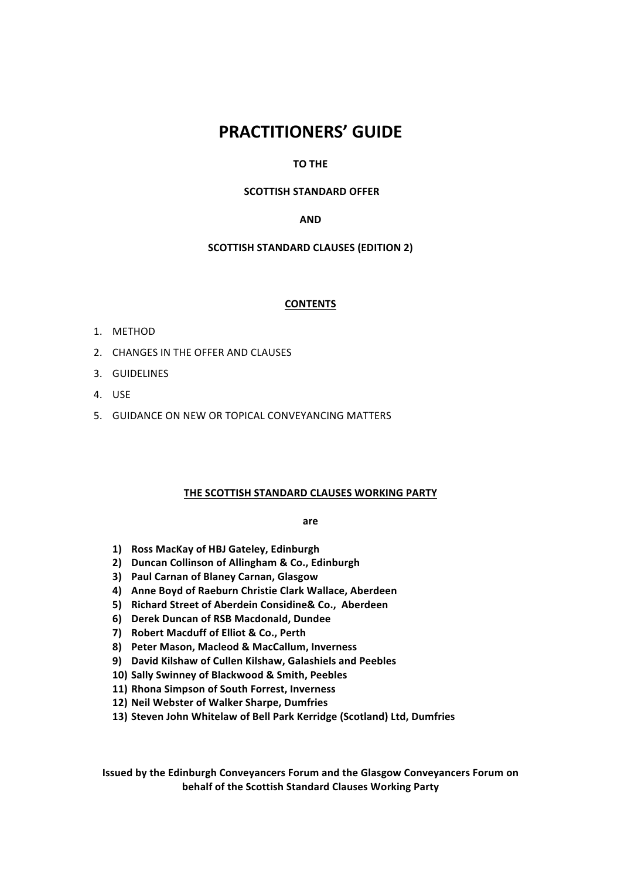# **PRACTITIONERS' GUIDE**

## **TO THE**

## **SCOTTISH STANDARD OFFER**

## **AND**

## **SCOTTISH STANDARD CLAUSES (EDITION 2)**

## **CONTENTS**

- 1. METHOD
- 2. CHANGES IN THE OFFER AND CLAUSES
- 3. GUIDELINES
- 4. USE
- 5. GUIDANCE ON NEW OR TOPICAL CONVEYANCING MATTERS

#### **THE SCOTTISH STANDARD CLAUSES WORKING PARTY**

#### **are**

- **1) Ross MacKay of HBJ Gateley, Edinburgh**
- **2) Duncan Collinson of Allingham & Co., Edinburgh**
- **3) Paul Carnan of Blaney Carnan, Glasgow**
- **4) Anne Boyd of Raeburn Christie Clark Wallace, Aberdeen**
- **5) Richard Street of Aberdein Considine& Co., Aberdeen**
- **6) Derek Duncan of RSB Macdonald, Dundee**
- **7) Robert Macduff of Elliot & Co., Perth**
- **8) Peter Mason, Macleod & MacCallum, Inverness**
- **9) David Kilshaw of Cullen Kilshaw, Galashiels and Peebles**
- 10) Sally Swinney of Blackwood & Smith, Peebles
- **11) Rhona Simpson of South Forrest, Inverness**
- **12) Neil Webster of Walker Sharpe, Dumfries**
- 13) Steven John Whitelaw of Bell Park Kerridge (Scotland) Ltd, Dumfries

**Issued by the Edinburgh Conveyancers Forum and the Glasgow Conveyancers Forum on behalf of the Scottish Standard Clauses Working Party**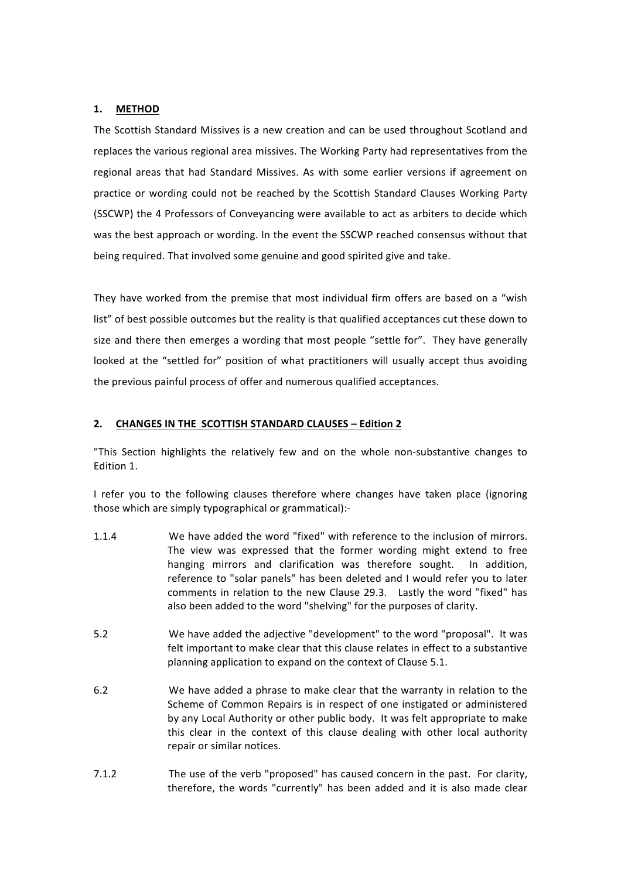## **1. METHOD**

The Scottish Standard Missives is a new creation and can be used throughout Scotland and replaces the various regional area missives. The Working Party had representatives from the regional areas that had Standard Missives. As with some earlier versions if agreement on practice or wording could not be reached by the Scottish Standard Clauses Working Party (SSCWP) the 4 Professors of Convevancing were available to act as arbiters to decide which was the best approach or wording. In the event the SSCWP reached consensus without that being required. That involved some genuine and good spirited give and take.

They have worked from the premise that most individual firm offers are based on a "wish list" of best possible outcomes but the reality is that qualified acceptances cut these down to size and there then emerges a wording that most people "settle for". They have generally looked at the "settled for" position of what practitioners will usually accept thus avoiding the previous painful process of offer and numerous qualified acceptances.

## **2. CHANGES IN THE SCOTTISH STANDARD CLAUSES – Edition 2**

"This Section highlights the relatively few and on the whole non-substantive changes to Edition 1.

I refer you to the following clauses therefore where changes have taken place (ignoring those which are simply typographical or grammatical):-

- 1.1.4 We have added the word "fixed" with reference to the inclusion of mirrors. The view was expressed that the former wording might extend to free hanging mirrors and clarification was therefore sought. In addition, reference to "solar panels" has been deleted and I would refer you to later comments in relation to the new Clause 29.3. Lastly the word "fixed" has also been added to the word "shelving" for the purposes of clarity.
- 5.2 We have added the adjective "development" to the word "proposal". It was felt important to make clear that this clause relates in effect to a substantive planning application to expand on the context of Clause 5.1.
- 6.2 We have added a phrase to make clear that the warranty in relation to the Scheme of Common Repairs is in respect of one instigated or administered by any Local Authority or other public body. It was felt appropriate to make this clear in the context of this clause dealing with other local authority repair or similar notices.
- 7.1.2 The use of the verb "proposed" has caused concern in the past. For clarity, therefore, the words "currently" has been added and it is also made clear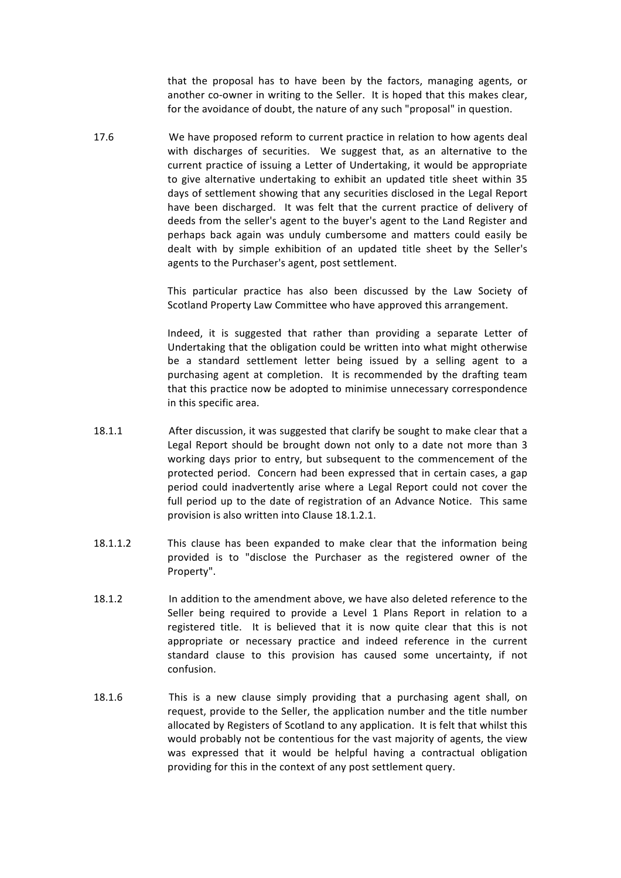that the proposal has to have been by the factors, managing agents, or another co-owner in writing to the Seller. It is hoped that this makes clear, for the avoidance of doubt, the nature of any such "proposal" in question.

17.6 We have proposed reform to current practice in relation to how agents deal with discharges of securities. We suggest that, as an alternative to the current practice of issuing a Letter of Undertaking, it would be appropriate to give alternative undertaking to exhibit an updated title sheet within 35 days of settlement showing that any securities disclosed in the Legal Report have been discharged. It was felt that the current practice of delivery of deeds from the seller's agent to the buyer's agent to the Land Register and perhaps back again was unduly cumbersome and matters could easily be dealt with by simple exhibition of an updated title sheet by the Seller's agents to the Purchaser's agent, post settlement.

> This particular practice has also been discussed by the Law Society of Scotland Property Law Committee who have approved this arrangement.

> Indeed, it is suggested that rather than providing a separate Letter of Undertaking that the obligation could be written into what might otherwise be a standard settlement letter being issued by a selling agent to a purchasing agent at completion. It is recommended by the drafting team that this practice now be adopted to minimise unnecessary correspondence in this specific area.

- 18.1.1 After discussion, it was suggested that clarify be sought to make clear that a Legal Report should be brought down not only to a date not more than 3 working days prior to entry, but subsequent to the commencement of the protected period. Concern had been expressed that in certain cases, a gap period could inadvertently arise where a Legal Report could not cover the full period up to the date of registration of an Advance Notice. This same provision is also written into Clause 18.1.2.1.
- 18.1.1.2 This clause has been expanded to make clear that the information being provided is to "disclose the Purchaser as the registered owner of the Property".
- 18.1.2 In addition to the amendment above, we have also deleted reference to the Seller being required to provide a Level 1 Plans Report in relation to a registered title. It is believed that it is now quite clear that this is not appropriate or necessary practice and indeed reference in the current standard clause to this provision has caused some uncertainty, if not confusion.
- 18.1.6 This is a new clause simply providing that a purchasing agent shall, on request, provide to the Seller, the application number and the title number allocated by Registers of Scotland to any application. It is felt that whilst this would probably not be contentious for the vast majority of agents, the view was expressed that it would be helpful having a contractual obligation providing for this in the context of any post settlement query.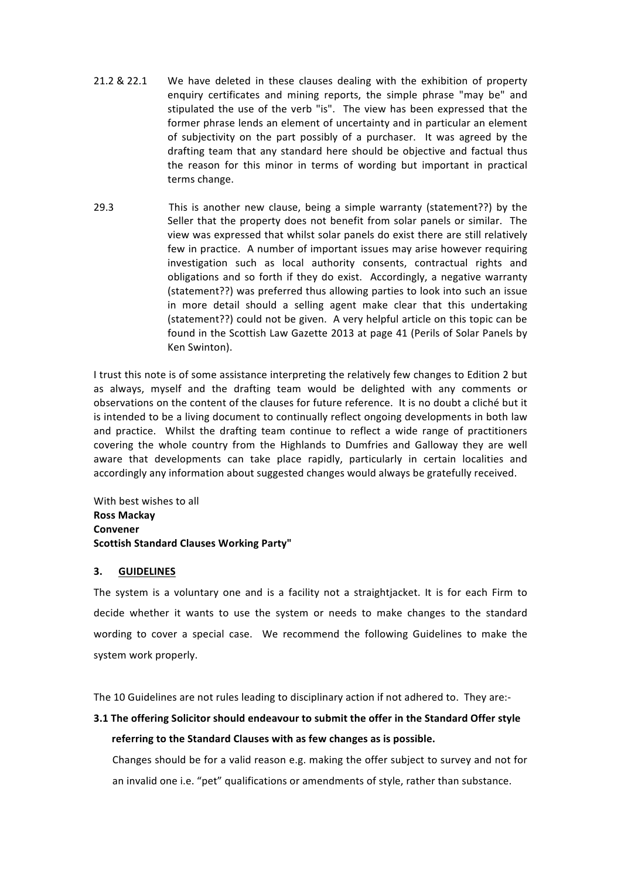- 21.2 & 22.1 We have deleted in these clauses dealing with the exhibition of property enquiry certificates and mining reports, the simple phrase "may be" and stipulated the use of the verb "is". The view has been expressed that the former phrase lends an element of uncertainty and in particular an element of subjectivity on the part possibly of a purchaser. It was agreed by the drafting team that any standard here should be objective and factual thus the reason for this minor in terms of wording but important in practical terms change.
- 29.3 This is another new clause, being a simple warranty (statement??) by the Seller that the property does not benefit from solar panels or similar. The view was expressed that whilst solar panels do exist there are still relatively few in practice. A number of important issues may arise however requiring investigation such as local authority consents, contractual rights and obligations and so forth if they do exist. Accordingly, a negative warranty (statement??) was preferred thus allowing parties to look into such an issue in more detail should a selling agent make clear that this undertaking (statement??) could not be given. A very helpful article on this topic can be found in the Scottish Law Gazette 2013 at page 41 (Perils of Solar Panels by Ken Swinton).

I trust this note is of some assistance interpreting the relatively few changes to Edition 2 but as always, myself and the drafting team would be delighted with any comments or observations on the content of the clauses for future reference. It is no doubt a cliché but it is intended to be a living document to continually reflect ongoing developments in both law and practice. Whilst the drafting team continue to reflect a wide range of practitioners covering the whole country from the Highlands to Dumfries and Galloway they are well aware that developments can take place rapidly, particularly in certain localities and accordingly any information about suggested changes would always be gratefully received.

With best wishes to all **Ross Mackay Convener Scottish Standard Clauses Working Party"**

## **3. GUIDELINES**

The system is a voluntary one and is a facility not a straightjacket. It is for each Firm to decide whether it wants to use the system or needs to make changes to the standard wording to cover a special case. We recommend the following Guidelines to make the system work properly.

The 10 Guidelines are not rules leading to disciplinary action if not adhered to. They are:-

## **3.1 The offering Solicitor should endeavour to submit the offer in the Standard Offer style** referring to the Standard Clauses with as few changes as is possible.

Changes should be for a valid reason e.g. making the offer subject to survey and not for an invalid one i.e. "pet" qualifications or amendments of style, rather than substance.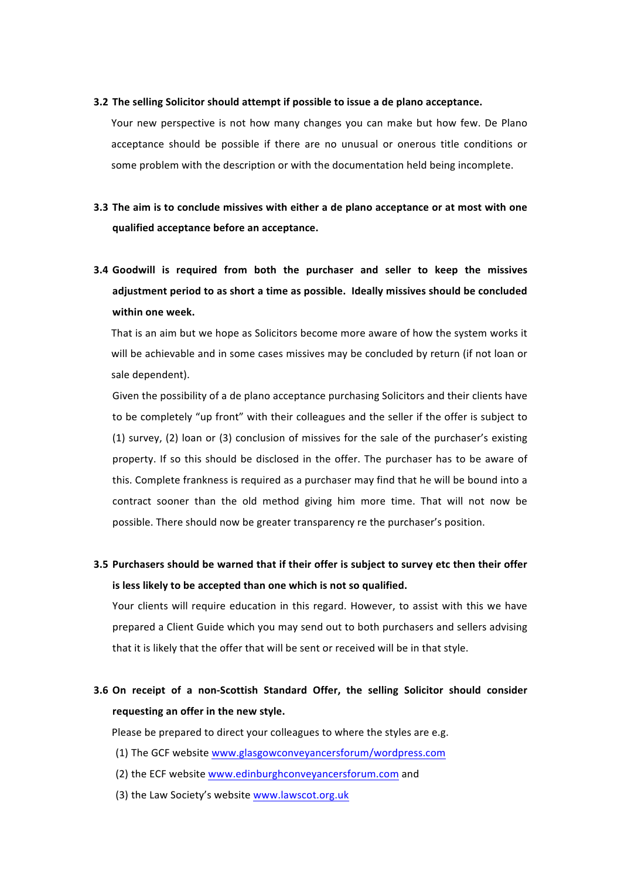#### **3.2** The selling Solicitor should attempt if possible to issue a de plano acceptance.

Your new perspective is not how many changes you can make but how few. De Plano acceptance should be possible if there are no unusual or onerous title conditions or some problem with the description or with the documentation held being incomplete.

- **3.3** The aim is to conclude missives with either a de plano acceptance or at most with one **qualified acceptance before an acceptance.**
- **3.4** Goodwill is required from both the purchaser and seller to keep the missives adjustment period to as short a time as possible. Ideally missives should be concluded **within one week.**

That is an aim but we hope as Solicitors become more aware of how the system works it will be achievable and in some cases missives may be concluded by return (if not loan or sale dependent).

Given the possibility of a de plano acceptance purchasing Solicitors and their clients have to be completely "up front" with their colleagues and the seller if the offer is subject to (1) survey, (2) loan or (3) conclusion of missives for the sale of the purchaser's existing property. If so this should be disclosed in the offer. The purchaser has to be aware of this. Complete frankness is required as a purchaser may find that he will be bound into a contract sooner than the old method giving him more time. That will not now be possible. There should now be greater transparency re the purchaser's position.

**3.5** Purchasers should be warned that if their offer is subject to survey etc then their offer **is less likely to be accepted than one which is not so qualified.** 

Your clients will require education in this regard. However, to assist with this we have prepared a Client Guide which you may send out to both purchasers and sellers advising that it is likely that the offer that will be sent or received will be in that style.

## **3.6** On receipt of a non-Scottish Standard Offer, the selling Solicitor should consider requesting an offer in the new style.

Please be prepared to direct your colleagues to where the styles are e.g.

- (1) The GCF website www.glasgowconveyancersforum/wordpress.com
- (2) the ECF website www.edinburghconveyancersforum.com and
- (3) the Law Society's website www.lawscot.org.uk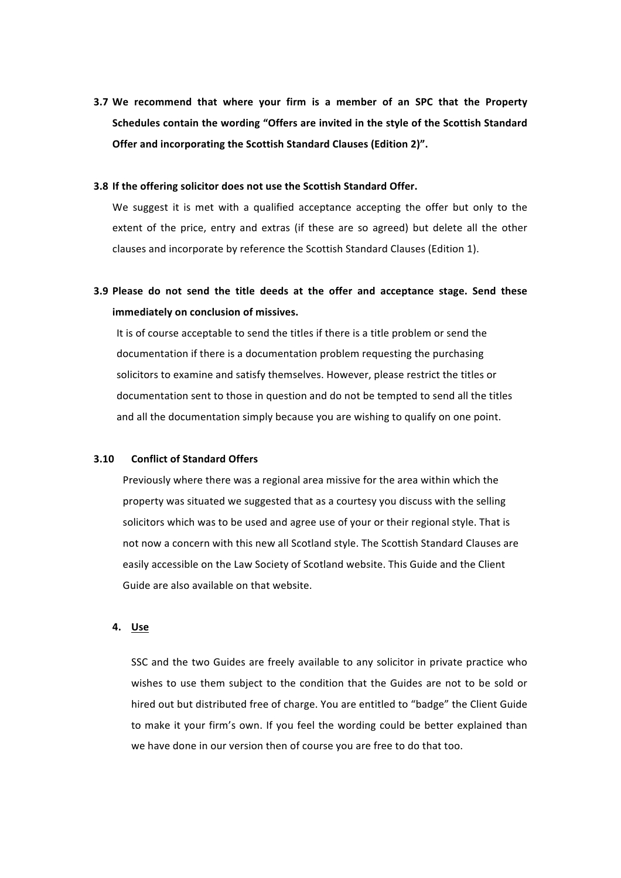**3.7** We recommend that where your firm is a member of an SPC that the Property **Schedules contain the wording "Offers are invited in the style of the Scottish Standard Offer and incorporating the Scottish Standard Clauses (Edition 2)".** 

#### **3.8** If the offering solicitor does not use the Scottish Standard Offer.

We suggest it is met with a qualified acceptance accepting the offer but only to the extent of the price, entry and extras (if these are so agreed) but delete all the other clauses and incorporate by reference the Scottish Standard Clauses (Edition 1).

**3.9** Please do not send the title deeds at the offer and acceptance stage. Send these **immediately on conclusion of missives.** 

It is of course acceptable to send the titles if there is a title problem or send the documentation if there is a documentation problem requesting the purchasing solicitors to examine and satisfy themselves. However, please restrict the titles or documentation sent to those in question and do not be tempted to send all the titles and all the documentation simply because you are wishing to qualify on one point.

#### **3.10 Conflict of Standard Offers**

Previously where there was a regional area missive for the area within which the property was situated we suggested that as a courtesy you discuss with the selling solicitors which was to be used and agree use of your or their regional style. That is not now a concern with this new all Scotland style. The Scottish Standard Clauses are easily accessible on the Law Society of Scotland website. This Guide and the Client Guide are also available on that website.

## **4. Use**

SSC and the two Guides are freely available to any solicitor in private practice who wishes to use them subject to the condition that the Guides are not to be sold or hired out but distributed free of charge. You are entitled to "badge" the Client Guide to make it your firm's own. If you feel the wording could be better explained than we have done in our version then of course you are free to do that too.